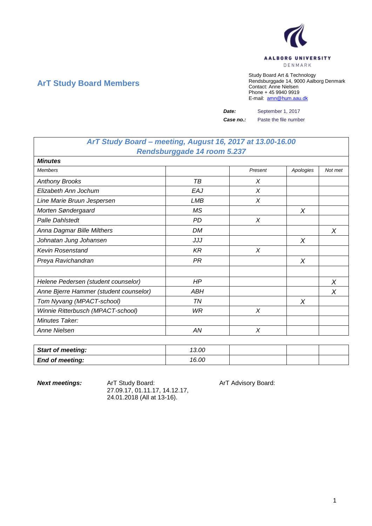

## **ArT Study Board Members**

Study Board Art & Technology Rendsburggade 14, 9000 Aalborg Denmark Contact: Anne Nielsen Phone + 45 9940 9919 E-mail: [amn@hum.aau.dk](mailto:amn@hum.aau.dk)

*Date:* September 1, 2017

*Case no.:* Paste the file number

## *ArT Study Board – meeting, August 16, 2017 at 13.00-16.00 Rendsburggade 14 room 5.237*

| <b>Minutes</b>                         |           |         |           |         |  |
|----------------------------------------|-----------|---------|-----------|---------|--|
| <b>Members</b>                         |           | Present | Apologies | Not met |  |
| <b>Anthony Brooks</b>                  | TВ        | X       |           |         |  |
| Elizabeth Ann Jochum                   | EAJ       | X       |           |         |  |
| Line Marie Bruun Jespersen             | LMB       | X       |           |         |  |
| Morten Søndergaard                     | ΜS        |         | Χ         |         |  |
| <b>Palle Dahlstedt</b>                 | PD        | X       |           |         |  |
| Anna Dagmar Bille Milthers             | DM        |         |           | X       |  |
| Johnatan Jung Johansen                 | JJJ       |         | X         |         |  |
| <b>Kevin Rosenstand</b>                | KR        | X       |           |         |  |
| Preya Ravichandran                     | PR        |         | Χ         |         |  |
|                                        |           |         |           |         |  |
| Helene Pedersen (student counselor)    | <b>HP</b> |         |           | X       |  |
| Anne Bjerre Hammer (student counselor) | ABH       |         |           | X       |  |
| Tom Nyvang (MPACT-school)              | TN        |         | X         |         |  |
| Winnie Ritterbusch (MPACT-school)      | WR        | X       |           |         |  |
| Minutes Taker:                         |           |         |           |         |  |
| Anne Nielsen                           | AN        | X       |           |         |  |

| <b>Start of meeting:</b> | 13.00 |  |  |
|--------------------------|-------|--|--|
| <b>End of meeting:</b>   | 16.00 |  |  |

**Next meetings:** ArT Study Board: ArT Advisory Board: 27.09.17, 01.11.17, 14.12.17, 24.01.2018 (All at 13-16).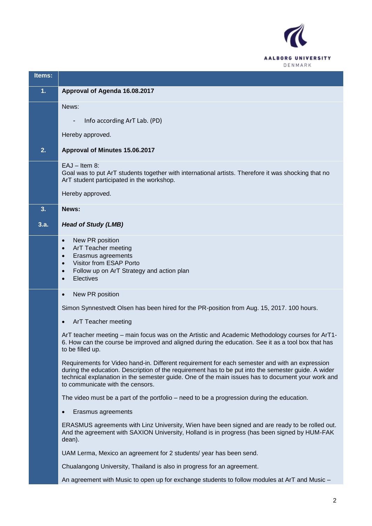

| Items: |                                                                                                                                                                                                                                                                                                                                                |
|--------|------------------------------------------------------------------------------------------------------------------------------------------------------------------------------------------------------------------------------------------------------------------------------------------------------------------------------------------------|
| 1.     | Approval of Agenda 16.08.2017                                                                                                                                                                                                                                                                                                                  |
|        | News:                                                                                                                                                                                                                                                                                                                                          |
|        | Info according ArT Lab. (PD)<br>-                                                                                                                                                                                                                                                                                                              |
|        | Hereby approved.                                                                                                                                                                                                                                                                                                                               |
| 2.     | Approval of Minutes 15.06.2017                                                                                                                                                                                                                                                                                                                 |
|        | $EAJ - Item 8:$<br>Goal was to put ArT students together with international artists. Therefore it was shocking that no<br>ArT student participated in the workshop.                                                                                                                                                                            |
|        | Hereby approved.                                                                                                                                                                                                                                                                                                                               |
| 3.     | News:                                                                                                                                                                                                                                                                                                                                          |
| 3.a.   | <b>Head of Study (LMB)</b>                                                                                                                                                                                                                                                                                                                     |
|        | New PR position<br>$\bullet$<br>ArT Teacher meeting<br>$\bullet$<br>Erasmus agreements<br>$\bullet$<br>Visitor from ESAP Porto<br>$\bullet$<br>Follow up on ArT Strategy and action plan<br>$\bullet$<br>Electives<br>$\bullet$                                                                                                                |
|        | New PR position<br>$\bullet$                                                                                                                                                                                                                                                                                                                   |
|        | Simon Synnestvedt Olsen has been hired for the PR-position from Aug. 15, 2017. 100 hours.                                                                                                                                                                                                                                                      |
|        | ArT Teacher meeting                                                                                                                                                                                                                                                                                                                            |
|        | ArT teacher meeting – main focus was on the Artistic and Academic Methodology courses for ArT1-<br>6. How can the course be improved and aligned during the education. See it as a tool box that has<br>to be filled up.                                                                                                                       |
|        | Requirements for Video hand-in. Different requirement for each semester and with an expression<br>during the education. Description of the requirement has to be put into the semester guide. A wider<br>technical explanation in the semester guide. One of the main issues has to document your work and<br>to communicate with the censors. |
|        | The video must be a part of the portfolio – need to be a progression during the education.                                                                                                                                                                                                                                                     |
|        | Erasmus agreements                                                                                                                                                                                                                                                                                                                             |
|        | ERASMUS agreements with Linz University, Wien have been signed and are ready to be rolled out.<br>And the agreement with SAXION University, Holland is in progress (has been signed by HUM-FAK<br>dean).                                                                                                                                       |
|        | UAM Lerma, Mexico an agreement for 2 students/ year has been send.                                                                                                                                                                                                                                                                             |
|        | Chualangong University, Thailand is also in progress for an agreement.                                                                                                                                                                                                                                                                         |
|        | An agreement with Music to open up for exchange students to follow modules at ArT and Music -                                                                                                                                                                                                                                                  |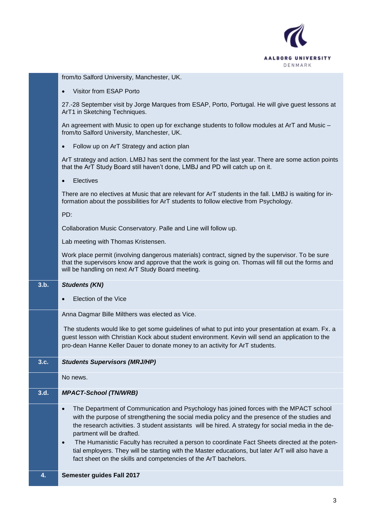

|      | from/to Salford University, Manchester, UK.                                                                                                                                                                                                                                                                                                                                                                                                                                                                                                                 |
|------|-------------------------------------------------------------------------------------------------------------------------------------------------------------------------------------------------------------------------------------------------------------------------------------------------------------------------------------------------------------------------------------------------------------------------------------------------------------------------------------------------------------------------------------------------------------|
|      | Visitor from ESAP Porto<br>$\bullet$                                                                                                                                                                                                                                                                                                                                                                                                                                                                                                                        |
|      | 27.-28 September visit by Jorge Marques from ESAP, Porto, Portugal. He will give guest lessons at<br>ArT1 in Sketching Techniques.                                                                                                                                                                                                                                                                                                                                                                                                                          |
|      | An agreement with Music to open up for exchange students to follow modules at ArT and Music -<br>from/to Salford University, Manchester, UK.                                                                                                                                                                                                                                                                                                                                                                                                                |
|      | Follow up on ArT Strategy and action plan<br>$\bullet$                                                                                                                                                                                                                                                                                                                                                                                                                                                                                                      |
|      | ArT strategy and action. LMBJ has sent the comment for the last year. There are some action points<br>that the ArT Study Board still haven't done, LMBJ and PD will catch up on it.                                                                                                                                                                                                                                                                                                                                                                         |
|      | Electives<br>$\bullet$                                                                                                                                                                                                                                                                                                                                                                                                                                                                                                                                      |
|      | There are no electives at Music that are relevant for ArT students in the fall. LMBJ is waiting for in-<br>formation about the possibilities for ArT students to follow elective from Psychology.                                                                                                                                                                                                                                                                                                                                                           |
|      | PD:                                                                                                                                                                                                                                                                                                                                                                                                                                                                                                                                                         |
|      | Collaboration Music Conservatory. Palle and Line will follow up.                                                                                                                                                                                                                                                                                                                                                                                                                                                                                            |
|      | Lab meeting with Thomas Kristensen.                                                                                                                                                                                                                                                                                                                                                                                                                                                                                                                         |
|      | Work place permit (involving dangerous materials) contract, signed by the supervisor. To be sure<br>that the supervisors know and approve that the work is going on. Thomas will fill out the forms and<br>will be handling on next ArT Study Board meeting.                                                                                                                                                                                                                                                                                                |
|      |                                                                                                                                                                                                                                                                                                                                                                                                                                                                                                                                                             |
| 3.b. | <b>Students (KN)</b>                                                                                                                                                                                                                                                                                                                                                                                                                                                                                                                                        |
|      | Election of the Vice                                                                                                                                                                                                                                                                                                                                                                                                                                                                                                                                        |
|      | Anna Dagmar Bille Milthers was elected as Vice.                                                                                                                                                                                                                                                                                                                                                                                                                                                                                                             |
|      | The students would like to get some guidelines of what to put into your presentation at exam. Fx. a<br>guest lesson with Christian Kock about student environment. Kevin will send an application to the<br>pro-dean Hanne Keller Dauer to donate money to an activity for ArT students.                                                                                                                                                                                                                                                                    |
| 3.c. | <b>Students Supervisors (MRJ/HP)</b>                                                                                                                                                                                                                                                                                                                                                                                                                                                                                                                        |
|      | No news.                                                                                                                                                                                                                                                                                                                                                                                                                                                                                                                                                    |
| 3.d. | <b>MPACT-School (TN/WRB)</b>                                                                                                                                                                                                                                                                                                                                                                                                                                                                                                                                |
|      | The Department of Communication and Psychology has joined forces with the MPACT school<br>$\bullet$<br>with the purpose of strengthening the social media policy and the presence of the studies and<br>the research activities. 3 student assistants will be hired. A strategy for social media in the de-<br>partment will be drafted.<br>The Humanistic Faculty has recruited a person to coordinate Fact Sheets directed at the poten-<br>$\bullet$<br>tial employers. They will be starting with the Master educations, but later ArT will also have a |
| 4.   | fact sheet on the skills and competencies of the ArT bachelors.<br>Semester guides Fall 2017                                                                                                                                                                                                                                                                                                                                                                                                                                                                |